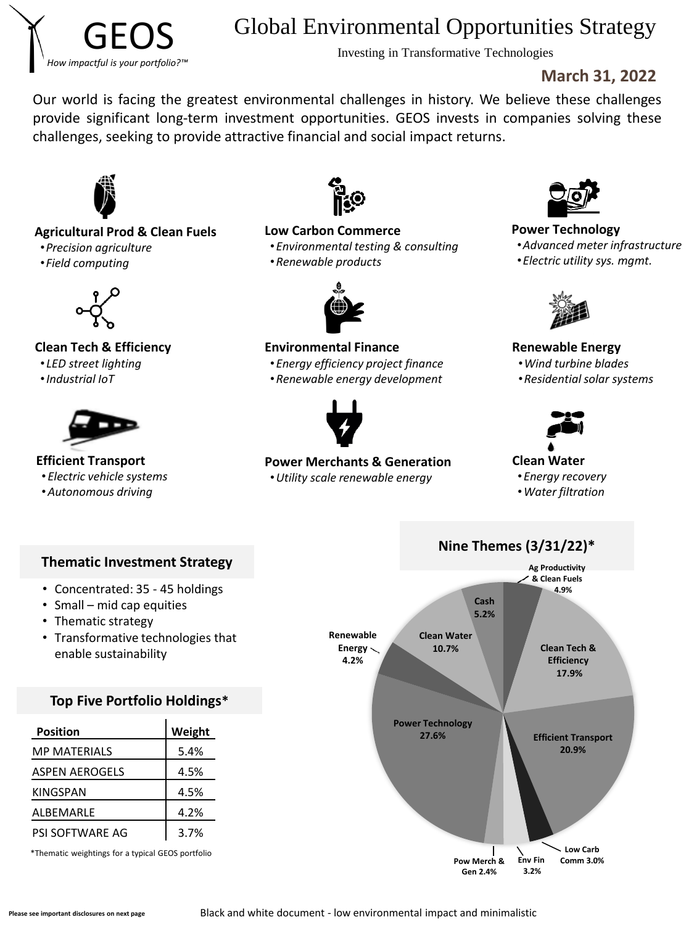

# Global Environmental Opportunities Strategy

Investing in Transformative Technologies

## **March 31, 2022**

Our world is facing the greatest environmental challenges in history. We believe these challenges provide significant long-term investment opportunities. GEOS invests in companies solving these challenges, seeking to provide attractive financial and social impact returns.



### **Agricultural Prod & Clean Fuels**

- •*Precision agriculture*
- •*Field computing*



### **Clean Tech & Efficiency**

- *LED street lighting*
- •*Industrial IoT*



**Efficient Transport**

- *Electric vehicle systems*
- •*Autonomous driving*



### **Low Carbon Commerce**

- •*Environmental testing & consulting*
- •*Renewable products*



### **Environmental Finance**

- •*Energy efficiency project finance*
- •*Renewable energy development*



### **Power Merchants & Generation**

•*Utility scale renewable energy*



### **Power Technology**

- •*Advanced meter infrastructure*
- •*Electric utility sys. mgmt.*



**Renewable Energy**

- •*Wind turbine blades*
- •*Residential solar systems*



### **Clean Water**

- •*Energy recovery*
- •*Water filtration*



- Concentrated: 35 45 holdings
- Small mid cap equities
- Thematic strategy
- Transformative technologies that enable sustainability

## **Top Five Portfolio Holdings\***

| <b>Position</b>       | Weight |
|-----------------------|--------|
| <b>MP MATERIALS</b>   | 5.4%   |
| <b>ASPEN AEROGELS</b> | 4.5%   |
| <b>KINGSPAN</b>       | 4.5%   |
| ALBEMARLE             | 4.2%   |
| PSI SOFTWARE AG       | 3.7%   |

\*Thematic weightings for a typical GEOS portfolio